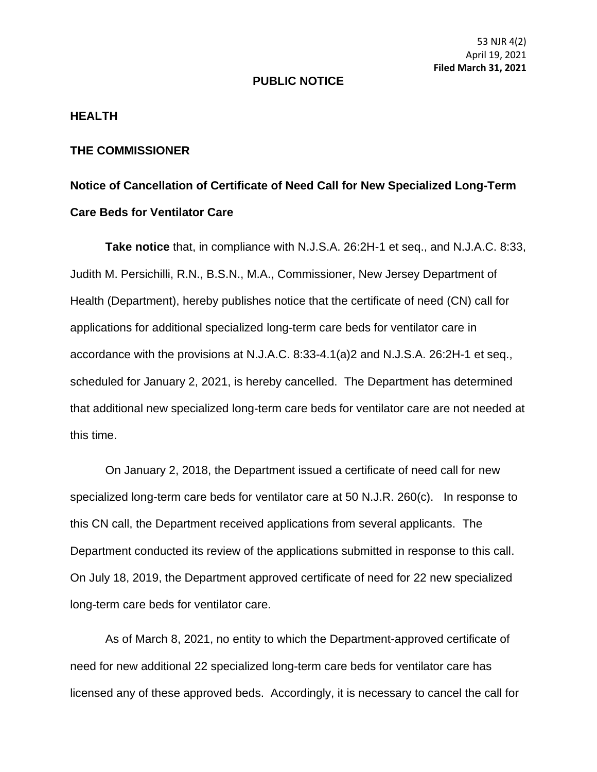53 NJR 4(2) April 19, 2021 **Filed March 31, 2021**

## **PUBLIC NOTICE**

## **HEALTH**

## **THE COMMISSIONER**

## **Notice of Cancellation of Certificate of Need Call for New Specialized Long-Term Care Beds for Ventilator Care**

**Take notice** that, in compliance with N.J.S.A. 26:2H-1 et seq., and N.J.A.C. 8:33, Judith M. Persichilli, R.N., B.S.N., M.A., Commissioner, New Jersey Department of Health (Department), hereby publishes notice that the certificate of need (CN) call for applications for additional specialized long-term care beds for ventilator care in accordance with the provisions at N.J.A.C. 8:33-4.1(a)2 and N.J.S.A. 26:2H-1 et seq., scheduled for January 2, 2021, is hereby cancelled. The Department has determined that additional new specialized long-term care beds for ventilator care are not needed at this time.

On January 2, 2018, the Department issued a certificate of need call for new specialized long-term care beds for ventilator care at 50 N.J.R. 260(c). In response to this CN call, the Department received applications from several applicants. The Department conducted its review of the applications submitted in response to this call. On July 18, 2019, the Department approved certificate of need for 22 new specialized long-term care beds for ventilator care.

As of March 8, 2021, no entity to which the Department-approved certificate of need for new additional 22 specialized long-term care beds for ventilator care has licensed any of these approved beds. Accordingly, it is necessary to cancel the call for